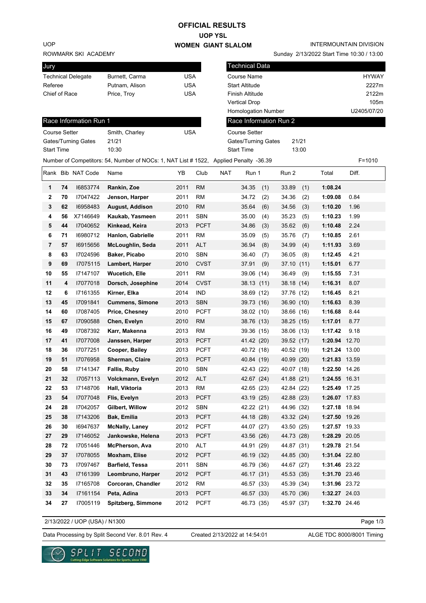# **OFFICIAL RESULTS**

### **UOP YSL WOMEN GIANT SLALOM**

ROWMARK SKI ACAD UOP

| Jury                      |                |     |
|---------------------------|----------------|-----|
| <b>Technical Delegate</b> | Burnett, Carma | USA |
| Referee                   | Putnam, Alison | USA |
| Chief of Race             | Price, Troy    | USA |
|                           |                |     |

#### INTERMOUNTAIN DIVISION

| Referee<br>Chief of Race | ROWMARK SKI ACADEMY<br>Technical Delegate |                        |                 |             |                    |                       |                   |                                                                                                                                                                                                                                                                                 |                                                                                                     | Sunday 2/13/2022 Start Time 10:30 / 13:00                                                                                                                                                                                                                                                     |             |                                                                                                                                                                                                                           |
|--------------------------|-------------------------------------------|------------------------|-----------------|-------------|--------------------|-----------------------|-------------------|---------------------------------------------------------------------------------------------------------------------------------------------------------------------------------------------------------------------------------------------------------------------------------|-----------------------------------------------------------------------------------------------------|-----------------------------------------------------------------------------------------------------------------------------------------------------------------------------------------------------------------------------------------------------------------------------------------------|-------------|---------------------------------------------------------------------------------------------------------------------------------------------------------------------------------------------------------------------------|
|                          |                                           |                        |                 |             |                    |                       |                   |                                                                                                                                                                                                                                                                                 |                                                                                                     |                                                                                                                                                                                                                                                                                               |             |                                                                                                                                                                                                                           |
|                          |                                           |                        |                 |             |                    | <b>Technical Data</b> |                   |                                                                                                                                                                                                                                                                                 |                                                                                                     |                                                                                                                                                                                                                                                                                               |             |                                                                                                                                                                                                                           |
|                          |                                           | Burnett, Carma         | <b>USA</b>      |             |                    | <b>Course Name</b>    |                   |                                                                                                                                                                                                                                                                                 |                                                                                                     |                                                                                                                                                                                                                                                                                               |             | <b>HYWAY</b>                                                                                                                                                                                                              |
|                          |                                           | Putnam, Alison         | <b>USA</b>      |             |                    | <b>Start Altitude</b> |                   |                                                                                                                                                                                                                                                                                 |                                                                                                     |                                                                                                                                                                                                                                                                                               |             | 2227m                                                                                                                                                                                                                     |
|                          |                                           | Price, Troy            | <b>USA</b>      |             |                    | Finish Altitude       |                   |                                                                                                                                                                                                                                                                                 |                                                                                                     |                                                                                                                                                                                                                                                                                               |             | 2122m                                                                                                                                                                                                                     |
|                          |                                           |                        |                 |             |                    | <b>Vertical Drop</b>  |                   |                                                                                                                                                                                                                                                                                 |                                                                                                     |                                                                                                                                                                                                                                                                                               |             | 105m                                                                                                                                                                                                                      |
|                          |                                           |                        |                 |             |                    | Homologation Number   |                   |                                                                                                                                                                                                                                                                                 |                                                                                                     |                                                                                                                                                                                                                                                                                               | U2405/07/20 |                                                                                                                                                                                                                           |
|                          | Race Information Run 1                    |                        |                 |             |                    |                       |                   | Race Information Run 2                                                                                                                                                                                                                                                          |                                                                                                     |                                                                                                                                                                                                                                                                                               |             |                                                                                                                                                                                                                           |
| Course Setter            |                                           | Smith, Charley         | <b>USA</b>      |             |                    | <b>Course Setter</b>  |                   |                                                                                                                                                                                                                                                                                 |                                                                                                     |                                                                                                                                                                                                                                                                                               |             |                                                                                                                                                                                                                           |
|                          | Gates/Turning Gates                       | 21/21                  |                 |             |                    | Gates/Turning Gates   |                   |                                                                                                                                                                                                                                                                                 | 21/21                                                                                               |                                                                                                                                                                                                                                                                                               |             |                                                                                                                                                                                                                           |
| Start Time               |                                           | 10:30                  |                 |             |                    |                       |                   |                                                                                                                                                                                                                                                                                 |                                                                                                     |                                                                                                                                                                                                                                                                                               |             |                                                                                                                                                                                                                           |
|                          |                                           |                        |                 |             |                    |                       |                   |                                                                                                                                                                                                                                                                                 |                                                                                                     |                                                                                                                                                                                                                                                                                               |             | $F = 1010$                                                                                                                                                                                                                |
|                          |                                           | Name                   | YB              | Club        | NAT                |                       |                   | Run 2                                                                                                                                                                                                                                                                           |                                                                                                     | Total                                                                                                                                                                                                                                                                                         | Diff.       |                                                                                                                                                                                                                           |
| 74                       | 16853774                                  | Rankin, Zoe            | 2011            | <b>RM</b>   |                    | 34.35                 | (1)               | 33.89                                                                                                                                                                                                                                                                           | (1)                                                                                                 | 1:08.24                                                                                                                                                                                                                                                                                       |             |                                                                                                                                                                                                                           |
| 70                       | 17047422                                  | Jenson, Harper         | 2011            | RM          |                    | 34.72                 | (2)               | 34.36                                                                                                                                                                                                                                                                           | (2)                                                                                                 | 1:09.08                                                                                                                                                                                                                                                                                       | 0.84        |                                                                                                                                                                                                                           |
| 62                       | 16958483                                  | August, Addison        | 2010            | <b>RM</b>   |                    | 35.64                 | (6)               | 34.56                                                                                                                                                                                                                                                                           | (3)                                                                                                 | 1:10.20                                                                                                                                                                                                                                                                                       | 1.96        |                                                                                                                                                                                                                           |
| 56                       | X7146649                                  | Kaukab, Yasmeen        | 2011            | <b>SBN</b>  |                    | 35.00                 | (4)               | 35.23                                                                                                                                                                                                                                                                           | (5)                                                                                                 | 1:10.23                                                                                                                                                                                                                                                                                       | 1.99        |                                                                                                                                                                                                                           |
| 44                       | 17040652                                  | Kinkead, Keira         | 2013            | <b>PCFT</b> |                    | 34.86                 | (3)               | 35.62                                                                                                                                                                                                                                                                           | (6)                                                                                                 | 1:10.48                                                                                                                                                                                                                                                                                       | 2.24        |                                                                                                                                                                                                                           |
| 71                       | 16980712                                  | Hanlon, Gabrielle      | 2011            | RM          |                    | 35.09                 | (5)               | 35.76                                                                                                                                                                                                                                                                           | (7)                                                                                                 | 1:10.85                                                                                                                                                                                                                                                                                       | 2.61        |                                                                                                                                                                                                                           |
| 57                       | 16915656                                  | McLoughlin, Seda       | 2011            | <b>ALT</b>  |                    | 36.94                 | (8)               | 34.99                                                                                                                                                                                                                                                                           | (4)                                                                                                 | 1:11.93                                                                                                                                                                                                                                                                                       | 3.69        |                                                                                                                                                                                                                           |
| 63                       | 17024596                                  | Baker, Picabo          | 2010            | <b>SBN</b>  |                    | 36.40                 | (7)               | 36.05                                                                                                                                                                                                                                                                           | (8)                                                                                                 | 1:12.45                                                                                                                                                                                                                                                                                       | 4.21        |                                                                                                                                                                                                                           |
| 69                       | 17075115                                  | Lambert, Harper        | 2010            | <b>CVST</b> |                    | 37.91                 | (9)               |                                                                                                                                                                                                                                                                                 |                                                                                                     | 1:15.01                                                                                                                                                                                                                                                                                       | 6.77        |                                                                                                                                                                                                                           |
| 55                       | 17147107                                  | <b>Wucetich, Elle</b>  | 2011            | <b>RM</b>   |                    |                       |                   | 36.49                                                                                                                                                                                                                                                                           | (9)                                                                                                 | 1:15.55                                                                                                                                                                                                                                                                                       | 7.31        |                                                                                                                                                                                                                           |
| 4                        | 17077018                                  | Dorsch, Josephine      | 2014            | <b>CVST</b> |                    |                       |                   |                                                                                                                                                                                                                                                                                 |                                                                                                     | 1:16.31                                                                                                                                                                                                                                                                                       | 8.07        |                                                                                                                                                                                                                           |
| 6                        | I7161355                                  | Kirner, Elka           | 2014            | <b>IND</b>  |                    |                       |                   |                                                                                                                                                                                                                                                                                 |                                                                                                     | 1:16.45                                                                                                                                                                                                                                                                                       | 8.21        |                                                                                                                                                                                                                           |
| 45                       | 17091841                                  | <b>Cummens, Simone</b> | 2013            | <b>SBN</b>  |                    |                       |                   |                                                                                                                                                                                                                                                                                 |                                                                                                     | 1:16.63                                                                                                                                                                                                                                                                                       | 8.39        |                                                                                                                                                                                                                           |
| 60                       | 17087405                                  | Price, Chesney         | 2010            | <b>PCFT</b> |                    |                       |                   |                                                                                                                                                                                                                                                                                 |                                                                                                     | 1:16.68                                                                                                                                                                                                                                                                                       | 8.44        |                                                                                                                                                                                                                           |
| 67                       | 17090588                                  | Chen, Evelyn           | 2010            | <b>RM</b>   |                    |                       |                   |                                                                                                                                                                                                                                                                                 |                                                                                                     | 1:17.01                                                                                                                                                                                                                                                                                       | 8.77        |                                                                                                                                                                                                                           |
| 49                       | 17087392                                  | Karr, Makenna          | 2013            | <b>RM</b>   |                    |                       |                   |                                                                                                                                                                                                                                                                                 |                                                                                                     | 1:17.42                                                                                                                                                                                                                                                                                       | 9.18        |                                                                                                                                                                                                                           |
| 41                       | 17077008                                  | Janssen, Harper        | 2013            | <b>PCFT</b> |                    |                       |                   |                                                                                                                                                                                                                                                                                 |                                                                                                     |                                                                                                                                                                                                                                                                                               |             |                                                                                                                                                                                                                           |
| 36                       | 17077251                                  | Cooper, Bailey         | 2013            | <b>PCFT</b> |                    |                       |                   |                                                                                                                                                                                                                                                                                 |                                                                                                     |                                                                                                                                                                                                                                                                                               |             |                                                                                                                                                                                                                           |
| 51                       | 17076958                                  | Sherman, Claire        | 2013            | <b>PCFT</b> |                    |                       |                   |                                                                                                                                                                                                                                                                                 |                                                                                                     |                                                                                                                                                                                                                                                                                               |             |                                                                                                                                                                                                                           |
| 58                       | 17141347                                  | Fallis, Ruby           | 2010            | SBN         |                    |                       |                   |                                                                                                                                                                                                                                                                                 |                                                                                                     |                                                                                                                                                                                                                                                                                               |             |                                                                                                                                                                                                                           |
| 32                       | 17057113                                  | Volckmann, Evelyn      | 2012            | ALT         |                    |                       |                   |                                                                                                                                                                                                                                                                                 |                                                                                                     |                                                                                                                                                                                                                                                                                               |             |                                                                                                                                                                                                                           |
| 53                       | 17148706                                  | Hall, Viktoria         | 2013            | <b>RM</b>   |                    |                       |                   |                                                                                                                                                                                                                                                                                 |                                                                                                     |                                                                                                                                                                                                                                                                                               |             |                                                                                                                                                                                                                           |
| 54                       | 17077048                                  | Flis, Evelyn           | 2013            | <b>PCFT</b> |                    |                       |                   |                                                                                                                                                                                                                                                                                 |                                                                                                     |                                                                                                                                                                                                                                                                                               |             |                                                                                                                                                                                                                           |
| 28                       | 17042057                                  |                        | 2012            |             |                    |                       |                   |                                                                                                                                                                                                                                                                                 |                                                                                                     |                                                                                                                                                                                                                                                                                               |             |                                                                                                                                                                                                                           |
| 38                       | 17143206                                  | Bak, Emilia            | 2013            | <b>PCFT</b> |                    |                       |                   |                                                                                                                                                                                                                                                                                 |                                                                                                     |                                                                                                                                                                                                                                                                                               |             |                                                                                                                                                                                                                           |
| 30                       | 16947637                                  | <b>McNally, Laney</b>  | 2012            | <b>PCFT</b> |                    |                       |                   |                                                                                                                                                                                                                                                                                 |                                                                                                     |                                                                                                                                                                                                                                                                                               |             |                                                                                                                                                                                                                           |
| 29                       | 17146052                                  | Jankowske, Helena      | 2013            |             |                    |                       |                   |                                                                                                                                                                                                                                                                                 |                                                                                                     |                                                                                                                                                                                                                                                                                               |             |                                                                                                                                                                                                                           |
| 72                       | 17051446                                  | McPherson, Ava         | 2010            | ALT         |                    |                       |                   |                                                                                                                                                                                                                                                                                 |                                                                                                     |                                                                                                                                                                                                                                                                                               |             |                                                                                                                                                                                                                           |
|                          | 17078055                                  | Moxham, Elise          | 2012            | <b>PCFT</b> |                    |                       |                   |                                                                                                                                                                                                                                                                                 |                                                                                                     |                                                                                                                                                                                                                                                                                               |             |                                                                                                                                                                                                                           |
|                          | 37                                        | Rank Bib NAT Code      | Gilbert, Willow |             | SBN<br><b>PCFT</b> |                       | <b>Start Time</b> | Run 1<br>39.06 (14)<br>38.13 (11)<br>38.69 (12)<br>39.73 (16)<br>38.02 (10)<br>38.76 (13)<br>39.36 (15)<br>41.42 (20)<br>40.72 (18)<br>40.84 (19)<br>42.43 (22)<br>42.67 (24)<br>42.65 (23)<br>43.19 (25)<br>42.22 (21)<br>44.18 (28)<br>44.07 (27)<br>43.56 (26)<br>44.91 (29) | Number of Competitors: 54, Number of NOCs: 1, NAT List # 1522, Applied Penalty -36.39<br>46.19 (32) | 13:00<br>37.10 (11)<br>38.18 (14)<br>37.76 (12)<br>36.90 (10)<br>38.66 (16)<br>38.25 (15)<br>38.06 (13)<br>39.52 (17)<br>40.52 (19)<br>40.99 (20)<br>40.07 (18)<br>41.88 (21)<br>42.84 (22)<br>42.88 (23)<br>44.96 (32)<br>43.32 (24)<br>43.50 (25)<br>44.73 (28)<br>44.87 (31)<br>44.85 (30) |             | 1:20.94 12.70<br>1:21.24 13.00<br>1:21.83 13.59<br>1:22.50 14.26<br>1:24.55 16.31<br>1:25.49 17.25<br>1:26.07 17.83<br>1:27.18 18.94<br>1:27.50 19.26<br>1:27.57 19.33<br>1:28.29 20.05<br>1:29.78 21.54<br>1:31.04 22.80 |

| <b>Start Time</b> | 10:30                                                                       | Start Ti |
|-------------------|-----------------------------------------------------------------------------|----------|
|                   | Number of Competitors: 54, Number of NOCs: 1, NAT List # 1522, Applied Pena |          |

2/13/2022 / UOP (USA) / N1300

Created 2/13/2022 at 14:54:01

**30 73** I7097467 **Barfield, Tessa** 2011 SBN 46.79 (36) 44.67 (27) **1:31.46** 23.22 **31 43** I7161399 **Leombruno, Harper** 2012 PCFT 46.17 (31) 45.53 (35) **1:31.70** 23.46 **32 35** I7165708 **Corcoran, Chandler** 2012 RM 46.57 (33) 45.39 (34) **1:31.96** 23.72 **33 34** I7161154 **Peta, Adina** 2013 PCFT 46.57 (33) 45.70 (36) **1:32.27** 24.03 **34 27** I7005119 **Spitzberg, Simmone** 2012 PCFT 46.73 (35) 45.97 (37) **1:32.70** 24.46

Page 1/3



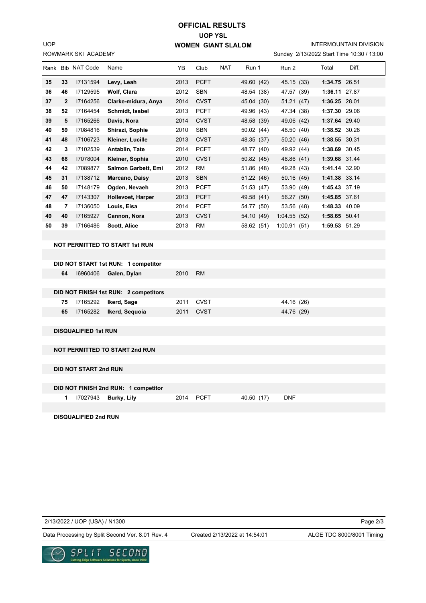ROWMARK SKI ACADEMY UOP

## **UOP YSL WOMEN GIANT SLALOM OFFICIAL RESULTS**

INTERMOUNTAIN DIVISION

| Sunday 2/13/2022 Start Time 10:30 / 13:00 |
|-------------------------------------------|
|-------------------------------------------|

|    |                | Rank Bib NAT Code | Name                       | YB.  | Club        | <b>NAT</b> | Run 1      | Run 2           | Total         | Diff. |
|----|----------------|-------------------|----------------------------|------|-------------|------------|------------|-----------------|---------------|-------|
| 35 | 33             | 17131594          | Levy, Leah                 | 2013 | <b>PCFT</b> |            | 49.60 (42) | 45.15 (33)      | 1:34.75 26.51 |       |
| 36 | 46             | 17129595          | <b>Wolf, Clara</b>         | 2012 | <b>SBN</b>  |            | 48.54 (38) | 47.57 (39)      | 1:36.11       | 27.87 |
| 37 | $\overline{2}$ | 17164256          | Clarke-midura, Anya        | 2014 | <b>CVST</b> |            | 45.04 (30) | 51.21 (47)      | 1:36.25 28.01 |       |
| 38 | 52             | 17164454          | Schmidt, Isabel            | 2013 | <b>PCFT</b> |            | 49.96 (43) | 47.34 (38)      | 1:37.30       | 29.06 |
| 39 | 5              | I7165266          | Davis, Nora                | 2014 | <b>CVST</b> |            | 48.58 (39) | 49.06 (42)      | 1:37.64 29.40 |       |
| 40 | 59             | 17084816          | Shirazi, Sophie            | 2010 | <b>SBN</b>  |            | 50.02 (44) | 48.50 (40)      | 1:38.52 30.28 |       |
| 41 | 48             | 17106723          | Kleiner, Lucille           | 2013 | <b>CVST</b> |            | 48.35 (37) | 50.20 (46)      | 1:38.55 30.31 |       |
| 42 | 3              | 17102539          | Antablin, Tate             | 2014 | <b>PCFT</b> |            | 48.77 (40) | 49.92 (44)      | 1:38.69 30.45 |       |
| 43 | 68             | 17078004          | Kleiner, Sophia            | 2010 | <b>CVST</b> |            | 50.82 (45) | 48.86 (41)      | 1:39.68 31.44 |       |
| 44 | 42             | 17089877          | <b>Salmon Garbett, Emi</b> | 2012 | <b>RM</b>   |            | 51.86 (48) | 49.28 (43)      | 1:41.14 32.90 |       |
| 45 | 31             | 17138712          | Marcano, Daisy             | 2013 | <b>SBN</b>  |            | 51.22 (46) | 50.16 (45)      | 1:41.38 33.14 |       |
| 46 | 50             | 17148179          | Ogden, Nevaeh              | 2013 | <b>PCFT</b> |            | 51.53 (47) | 53.90 (49)      | 1:45.43 37.19 |       |
| 47 | 47             | 17143307          | Hollevoet, Harper          | 2013 | <b>PCFT</b> |            | 49.58 (41) | 56.27 (50)      | 1:45.85 37.61 |       |
| 48 | 7              | 17136050          | Louis, Eisa                | 2014 | <b>PCFT</b> |            | 54.77 (50) | 53.56 (48)      | 1:48.33       | 40.09 |
| 49 | 40             | 17165927          | Cannon, Nora               | 2013 | <b>CVST</b> |            | 54.10 (49) | 1:04.55<br>(52) | 1:58.65 50.41 |       |
| 50 | 39             | 17166486          | <b>Scott, Alice</b>        | 2013 | <b>RM</b>   |            | 58.62 (51) | 1:00.91(51)     | 1:59.53 51.29 |       |
|    |                |                   |                            |      |             |            |            |                 |               |       |
|    |                |                   |                            |      |             |            |            |                 |               |       |

### **NOT PERMITTED TO START 1st RUN**

| DID NOT START 1st RUN: 1 competitor   |      |           |            |
|---------------------------------------|------|-----------|------------|
| 16960406<br>Galen, Dylan<br>64        | 2010 | <b>RM</b> |            |
|                                       |      |           |            |
| DID NOT FINISH 1st RUN: 2 competitors |      |           |            |
| 17165292<br>Ikerd, Sage<br>75         | 2011 | CVST      | 44.16 (26) |
| 17165282<br>Ikerd, Seguoia<br>65      | 2011 | CVST      | 44.76 (29) |

**DISQUALIFIED 1st RUN**

### **NOT PERMITTED TO START 2nd RUN**

**DID NOT START 2nd RUN**

### **DID NOT FINISH 2nd RUN: 1 competitor**

 **1** I7027943 **Burky, Lily** 2014 PCFT 40.50 (17) DNF

**DISQUALIFIED 2nd RUN**

2/13/2022 / UOP (USA) / N1300

Created 2/13/2022 at 14:54:01

Page 2/3

Data Processing by Split Second Ver. 8.01 Rev. 4 Created 2/13/2022 at 14:54:01 ALGE TDC 8000/8001 Timing